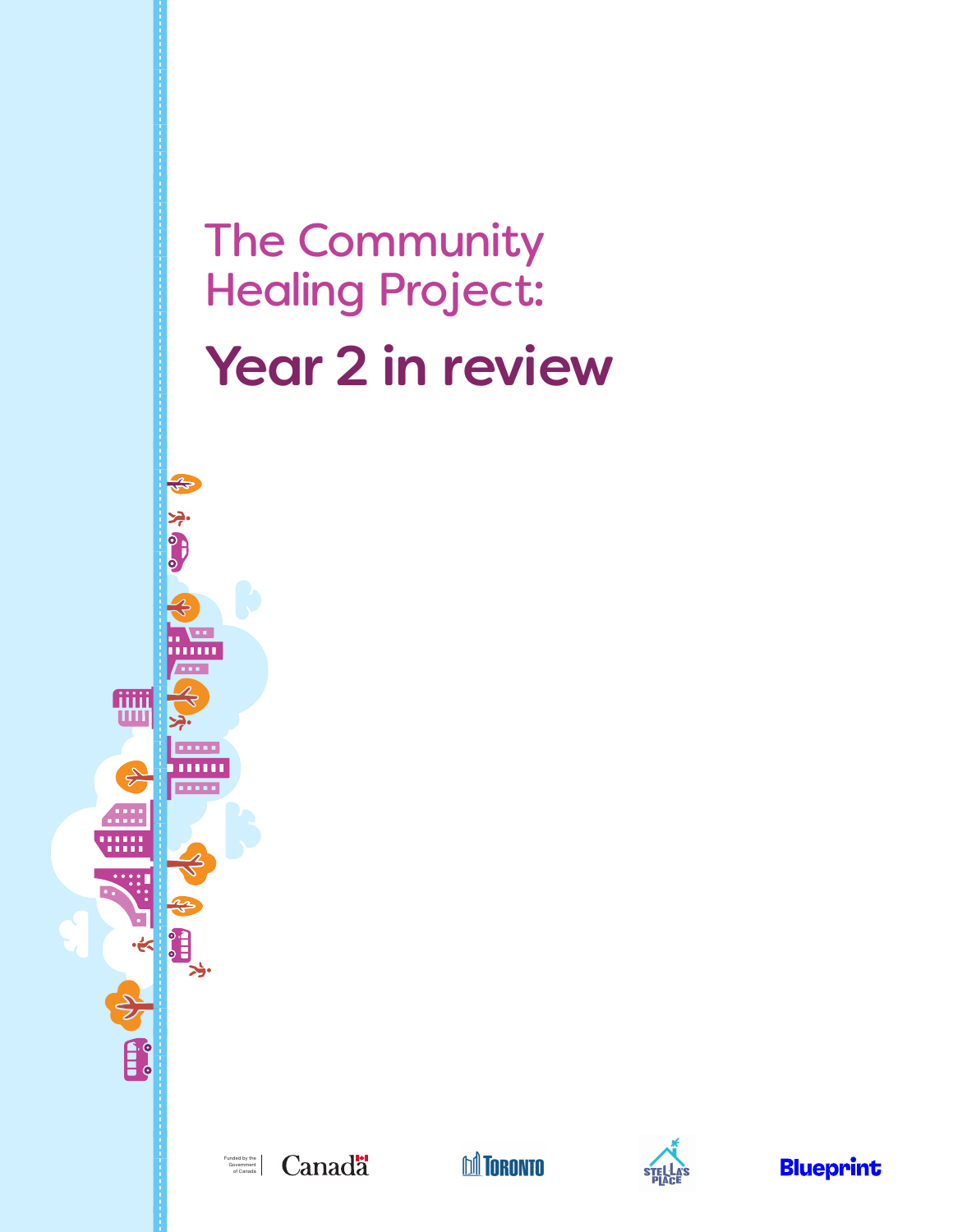# The Community Healing Project: Year 2 in review



\$ \$650

,,,,,,

**THE** 

E.

追





**Blueprint**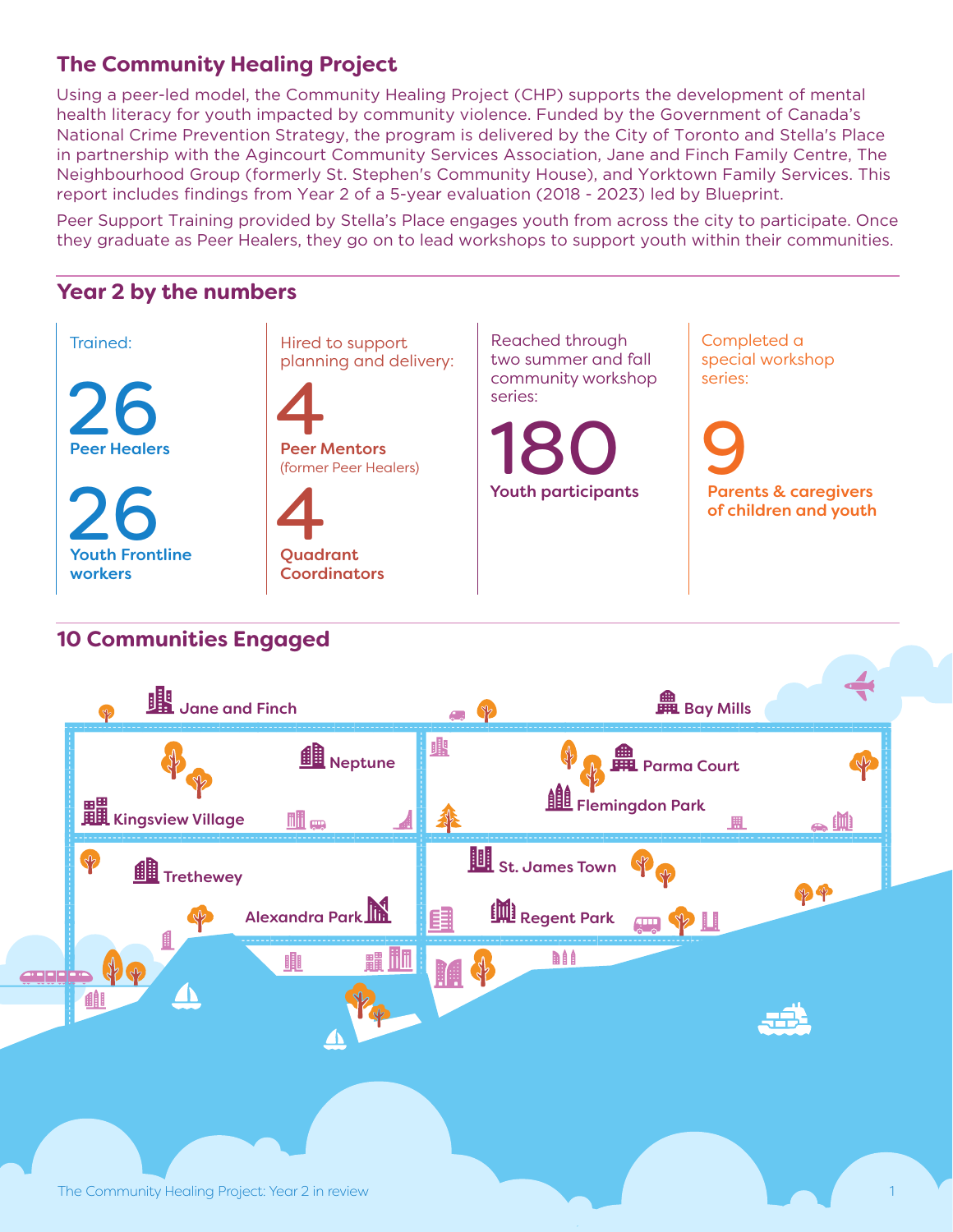## **The Community Healing Project**

Using a peer-led model, the Community Healing Project (CHP) supports the development of mental health literacy for youth impacted by community violence. Funded by the Government of Canada's National Crime Prevention Strategy, the program is delivered by the City of Toronto and Stella's Place in partnership with the Agincourt Community Services Association, Jane and Finch Family Centre, The Neighbourhood Group (formerly St. Stephen's Community House), and Yorktown Family Services. This report includes findings from Year 2 of a 5-year evaluation (2018 - 2023) led by Blueprint.

Peer Support Training provided by Stella's Place engages youth from across the city to participate. Once they graduate as Peer Healers, they go on to lead workshops to support youth within their communities.

## **Year 2 by the numbers**



# **10 Communities Engaged**

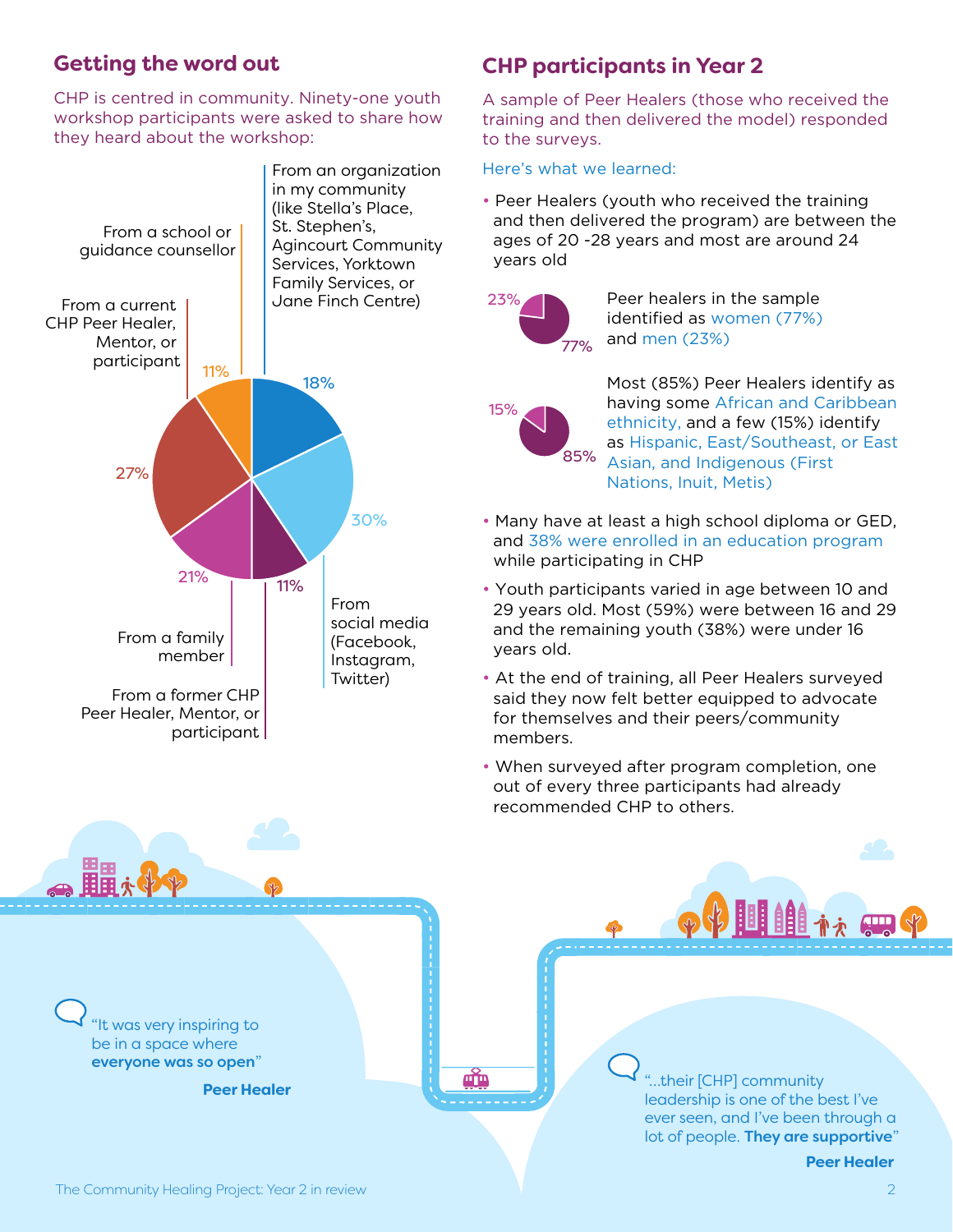## **Getting the word out**

CHP is centred in community. Ninety-one youth workshop participants were asked to share how they heard about the workshop:



# **CHP participants in Year 2**

A sample of Peer Healers (those who received the training and then delivered the model) responded to the surveys.

#### Here's what we learned:

• Peer Healers (youth who received the training and then delivered the program) are between the ages of 20 -28 years and most are around 24 years old



15%

Peer healers in the sample identified as women (77%) and men (23%)

Most (85%) Peer Healers identify as having some African and Caribbean ethnicity, and a few (15%) identify as Hispanic, East/Southeast, or East Asian, and Indigenous (First Nations, Inuit, Metis) 85%

- Many have at least a high school diploma or GED, and 38% were enrolled in an education program while participating in CHP
- Youth participants varied in age between 10 and 29 years old. Most (59%) were between 16 and 29 and the remaining youth (38%) were under 16 years old.
- At the end of training, all Peer Healers surveyed said they now felt better equipped to advocate for themselves and their peers/community members.
- When surveyed after program completion, one out of every three participants had already recommended CHP to others.

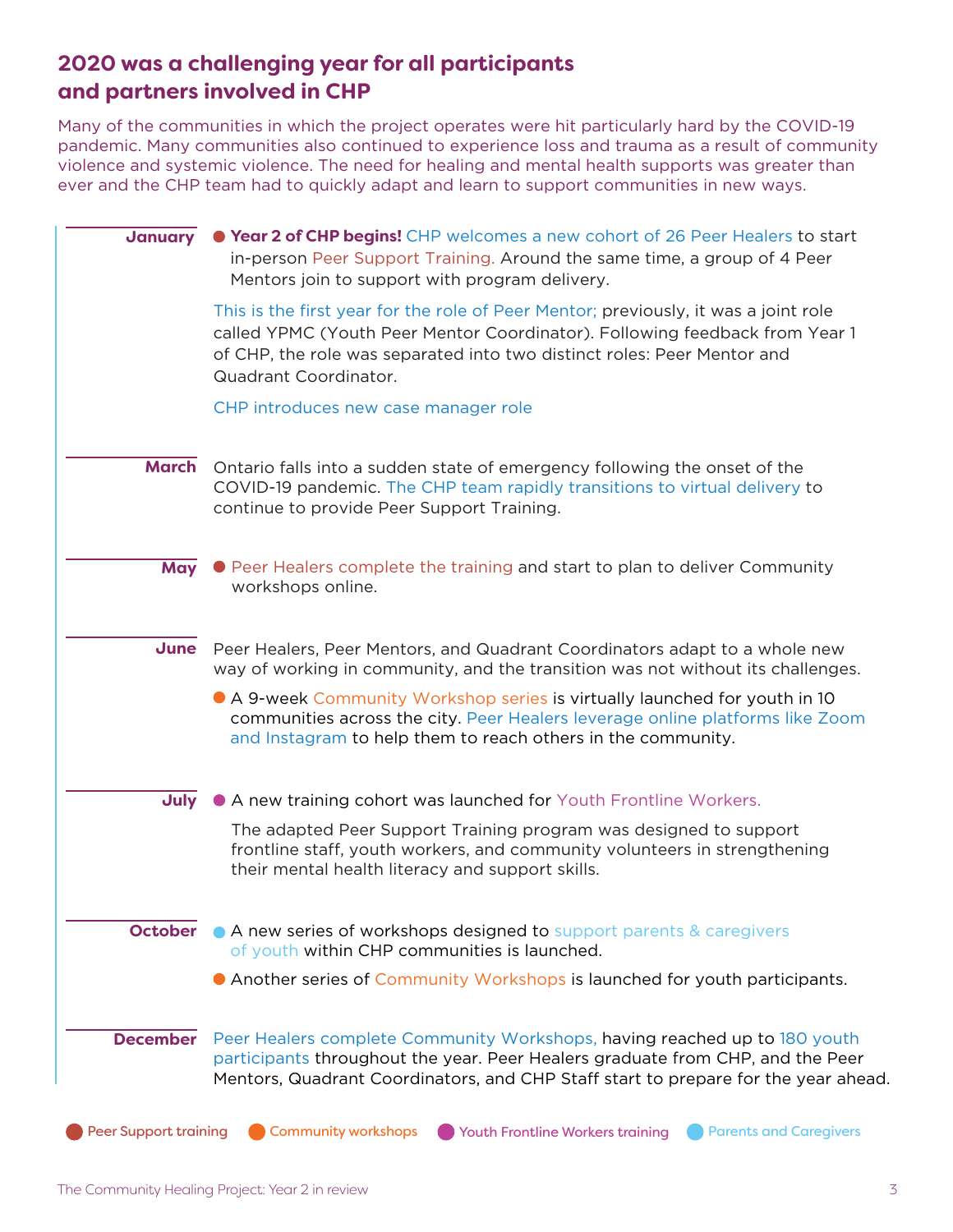## **2020 was a challenging year for all participants and partners involved in CHP**

Many of the communities in which the project operates were hit particularly hard by the COVID-19 pandemic. Many communities also continued to experience loss and trauma as a result of community violence and systemic violence. The need for healing and mental health supports was greater than ever and the CHP team had to quickly adapt and learn to support communities in new ways.

| January                      | ● Year 2 of CHP begins! CHP welcomes a new cohort of 26 Peer Healers to start<br>in-person Peer Support Training. Around the same time, a group of 4 Peer<br>Mentors join to support with program delivery.                                                            |
|------------------------------|------------------------------------------------------------------------------------------------------------------------------------------------------------------------------------------------------------------------------------------------------------------------|
|                              | This is the first year for the role of Peer Mentor; previously, it was a joint role<br>called YPMC (Youth Peer Mentor Coordinator). Following feedback from Year 1<br>of CHP, the role was separated into two distinct roles: Peer Mentor and<br>Quadrant Coordinator. |
|                              | CHP introduces new case manager role                                                                                                                                                                                                                                   |
| <b>March</b>                 | Ontario falls into a sudden state of emergency following the onset of the<br>COVID-19 pandemic. The CHP team rapidly transitions to virtual delivery to<br>continue to provide Peer Support Training.                                                                  |
| <b>May</b>                   | • Peer Healers complete the training and start to plan to deliver Community<br>workshops online.                                                                                                                                                                       |
| June                         | Peer Healers, Peer Mentors, and Quadrant Coordinators adapt to a whole new<br>way of working in community, and the transition was not without its challenges.                                                                                                          |
|                              | • A 9-week Community Workshop series is virtually launched for youth in 10<br>communities across the city. Peer Healers leverage online platforms like Zoom<br>and Instagram to help them to reach others in the community.                                            |
| July                         | • A new training cohort was launched for Youth Frontline Workers.                                                                                                                                                                                                      |
|                              | The adapted Peer Support Training program was designed to support<br>frontline staff, youth workers, and community volunteers in strengthening<br>their mental health literacy and support skills.                                                                     |
| <b>October</b>               | • A new series of workshops designed to support parents & caregivers<br>of youth within CHP communities is launched.                                                                                                                                                   |
|                              | • Another series of Community Workshops is launched for youth participants.                                                                                                                                                                                            |
| <b>December</b>              | Peer Healers complete Community Workshops, having reached up to 180 youth<br>participants throughout the year. Peer Healers graduate from CHP, and the Peer<br>Mentors, Quadrant Coordinators, and CHP Staff start to prepare for the year ahead.                      |
| <b>Peer Support training</b> | <b>Community workshops</b><br>Youth Frontline Workers training<br><b>Parents and Caregivers</b>                                                                                                                                                                        |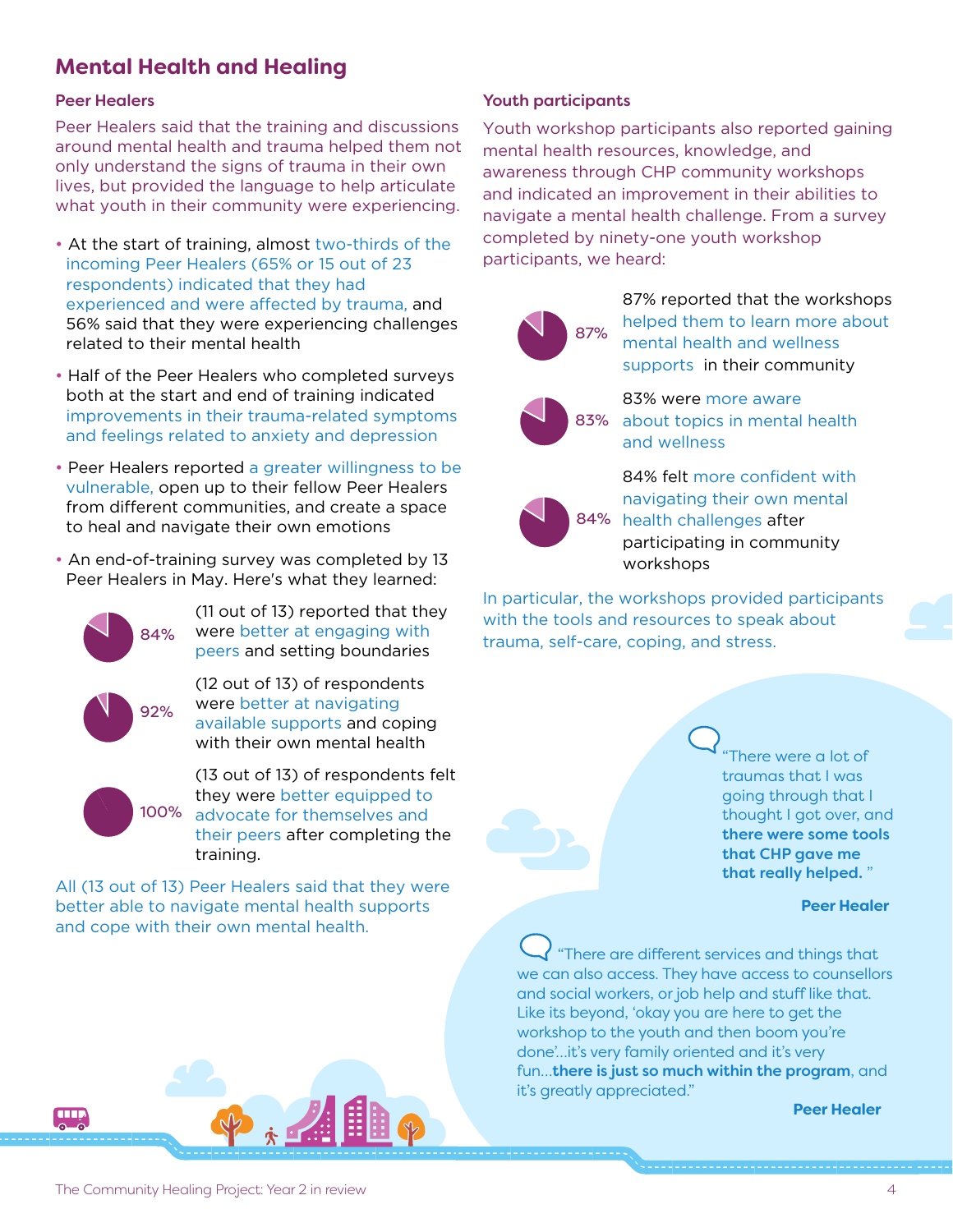# **Mental Health and Healing**

#### Peer Healers

Peer Healers said that the training and discussions around mental health and trauma helped them not only understand the signs of trauma in their own lives, but provided the language to help articulate what youth in their community were experiencing.

- At the start of training, almost two-thirds of the incoming Peer Healers (65% or 15 out of 23 respondents) indicated that they had experienced and were affected by trauma, and 56% said that they were experiencing challenges related to their mental health
- Half of the Peer Healers who completed surveys both at the start and end of training indicated improvements in their trauma-related symptoms and feelings related to anxiety and depression
- Peer Healers reported a greater willingness to be vulnerable, open up to their fellow Peer Healers from different communities, and create a space to heal and navigate their own emotions
- An end-of-training survey was completed by 13 Peer Healers in May. Here's what they learned:



(11 out of 13) reported that they were better at engaging with peers and setting boundaries

(12 out of 13) of respondents were better at navigating available supports and coping with their own mental health



**THE** 

(13 out of 13) of respondents felt they were better equipped to 100% advocate for themselves and their peers after completing the training.

All (13 out of 13) Peer Healers said that they were better able to navigate mental health supports and cope with their own mental health.

## Youth participants

Youth workshop participants also reported gaining mental health resources, knowledge, and awareness through CHP community workshops and indicated an improvement in their abilities to navigate a mental health challenge. From a survey completed by ninety-one youth workshop participants, we heard:



87% reported that the workshops helped them to learn more about mental health and wellness supports in their community



83% were more aware about topics in mental health and wellness



84% felt more confident with navigating their own mental 84% health challenges after participating in community workshops

In particular, the workshops provided participants with the tools and resources to speak about 84% were better at engaging with trauma, self-care, coping, and stress.

> There were a lot of traumas that I was going through that I thought I got over, and there were some tools that CHP gave me that really helped. "

#### **Peer Healer**

"There are different services and things that we can also access. They have access to counsellors and social workers, or job help and stuff like that. Like its beyond, 'okay you are here to get the workshop to the youth and then boom you're done'…it's very family oriented and it's very fun...there is just so much within the program, and it's greatly appreciated."

#### **Peer Healer**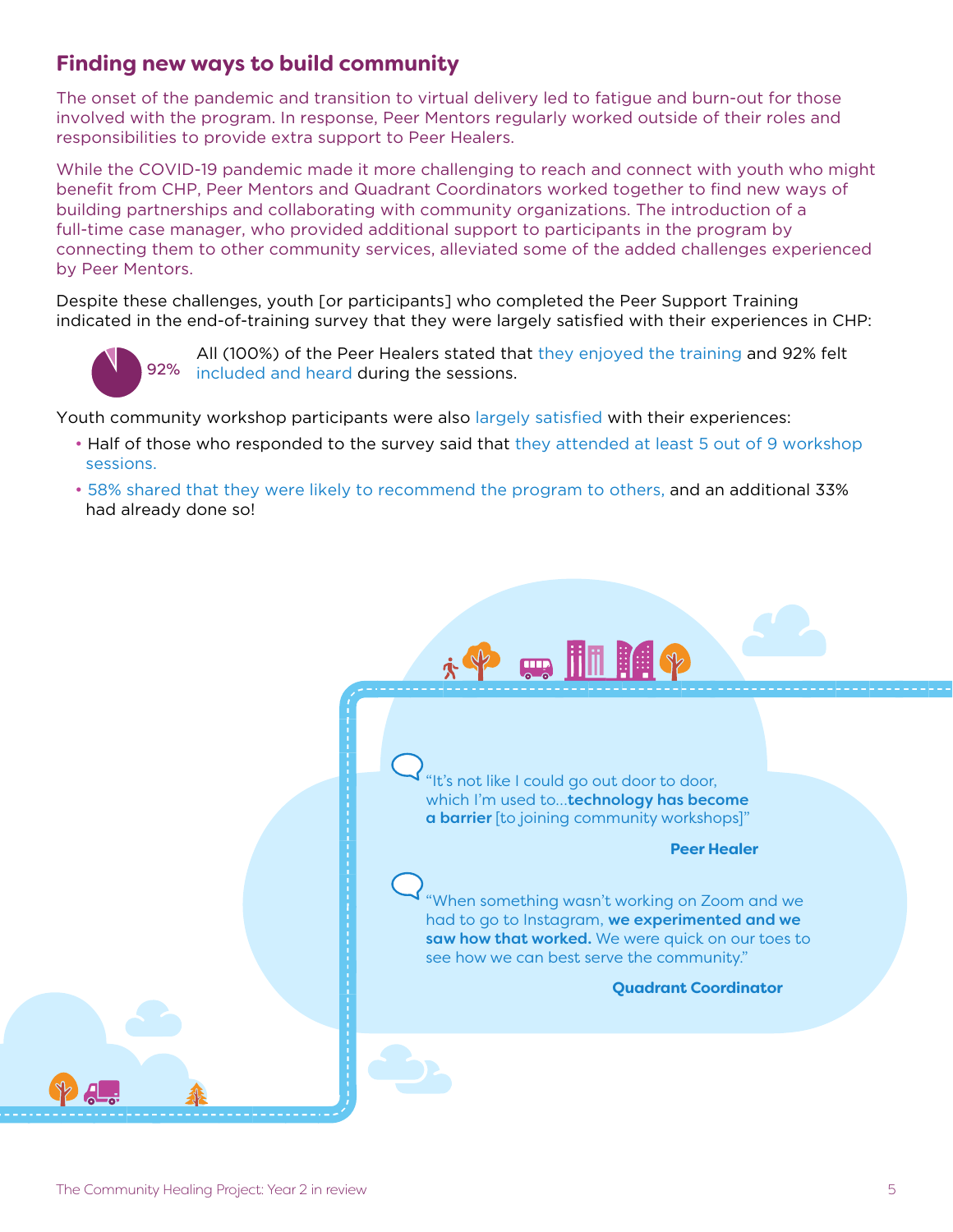## **Finding new ways to build community**

The onset of the pandemic and transition to virtual delivery led to fatigue and burn-out for those involved with the program. In response, Peer Mentors regularly worked outside of their roles and responsibilities to provide extra support to Peer Healers.

While the COVID-19 pandemic made it more challenging to reach and connect with youth who might benefit from CHP, Peer Mentors and Quadrant Coordinators worked together to find new ways of building partnerships and collaborating with community organizations. The introduction of a full-time case manager, who provided additional support to participants in the program by connecting them to other community services, alleviated some of the added challenges experienced by Peer Mentors.

Despite these challenges, youth [or participants] who completed the Peer Support Training indicated in the end-of-training survey that they were largely satisfied with their experiences in CHP:



All (100%) of the Peer Healers stated that they enjoyed the training and 92% felt included and heard during the sessions. 92%

Youth community workshop participants were also largely satisfied with their experiences:

- Half of those who responded to the survey said that they attended at least 5 out of 9 workshop sessions.
- 58% shared that they were likely to recommend the program to others, and an additional 33% had already done so!

"It's not like I could go out door to door, which I'm used to...technology has become a barrier [to joining community workshops]"

**PEHILIP** 

#### **Peer Healer**

"When something wasn't working on Zoom and we had to go to Instagram, we experimented and we saw how that worked. We were quick on our toes to see how we can best serve the community."

#### **Quadrant Coordinator**